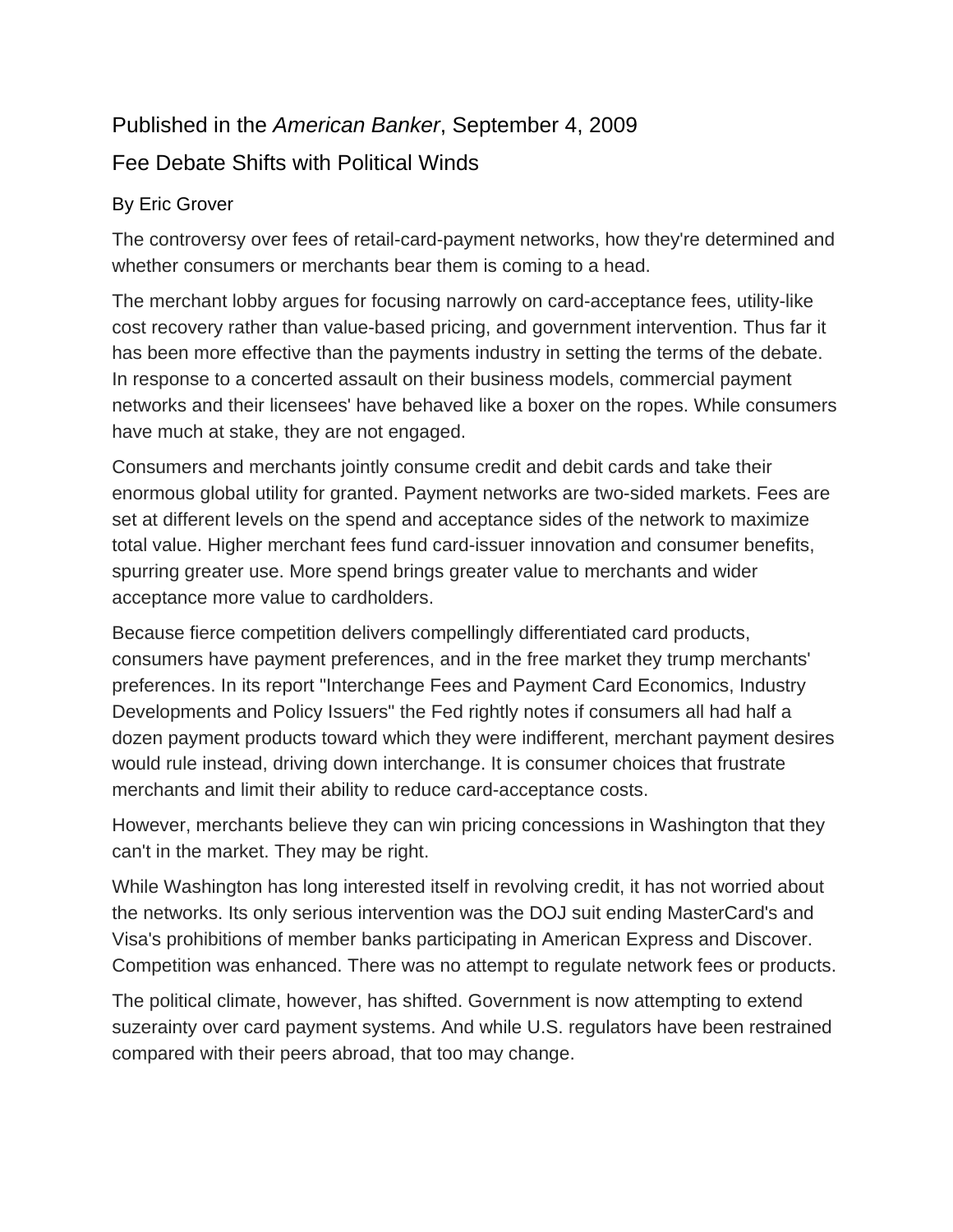## Published in the *American Banker*, September 4, 2009

## Fee Debate Shifts with Political Winds

## By Eric Grover

The controversy over fees of retail-card-payment networks, how they're determined and whether consumers or merchants bear them is coming to a head.

The merchant lobby argues for focusing narrowly on card-acceptance fees, utility-like cost recovery rather than value-based pricing, and government intervention. Thus far it has been more effective than the payments industry in setting the terms of the debate. In response to a concerted assault on their business models, commercial payment networks and their licensees' have behaved like a boxer on the ropes. While consumers have much at stake, they are not engaged.

Consumers and merchants jointly consume credit and debit cards and take their enormous global utility for granted. Payment networks are two-sided markets. Fees are set at different levels on the spend and acceptance sides of the network to maximize total value. Higher merchant fees fund card-issuer innovation and consumer benefits, spurring greater use. More spend brings greater value to merchants and wider acceptance more value to cardholders.

Because fierce competition delivers compellingly differentiated card products, consumers have payment preferences, and in the free market they trump merchants' preferences. In its report "Interchange Fees and Payment Card Economics, Industry Developments and Policy Issuers" the Fed rightly notes if consumers all had half a dozen payment products toward which they were indifferent, merchant payment desires would rule instead, driving down interchange. It is consumer choices that frustrate merchants and limit their ability to reduce card-acceptance costs.

However, merchants believe they can win pricing concessions in Washington that they can't in the market. They may be right.

While Washington has long interested itself in revolving credit, it has not worried about the networks. Its only serious intervention was the DOJ suit ending MasterCard's and Visa's prohibitions of member banks participating in American Express and Discover. Competition was enhanced. There was no attempt to regulate network fees or products.

The political climate, however, has shifted. Government is now attempting to extend suzerainty over card payment systems. And while U.S. regulators have been restrained compared with their peers abroad, that too may change.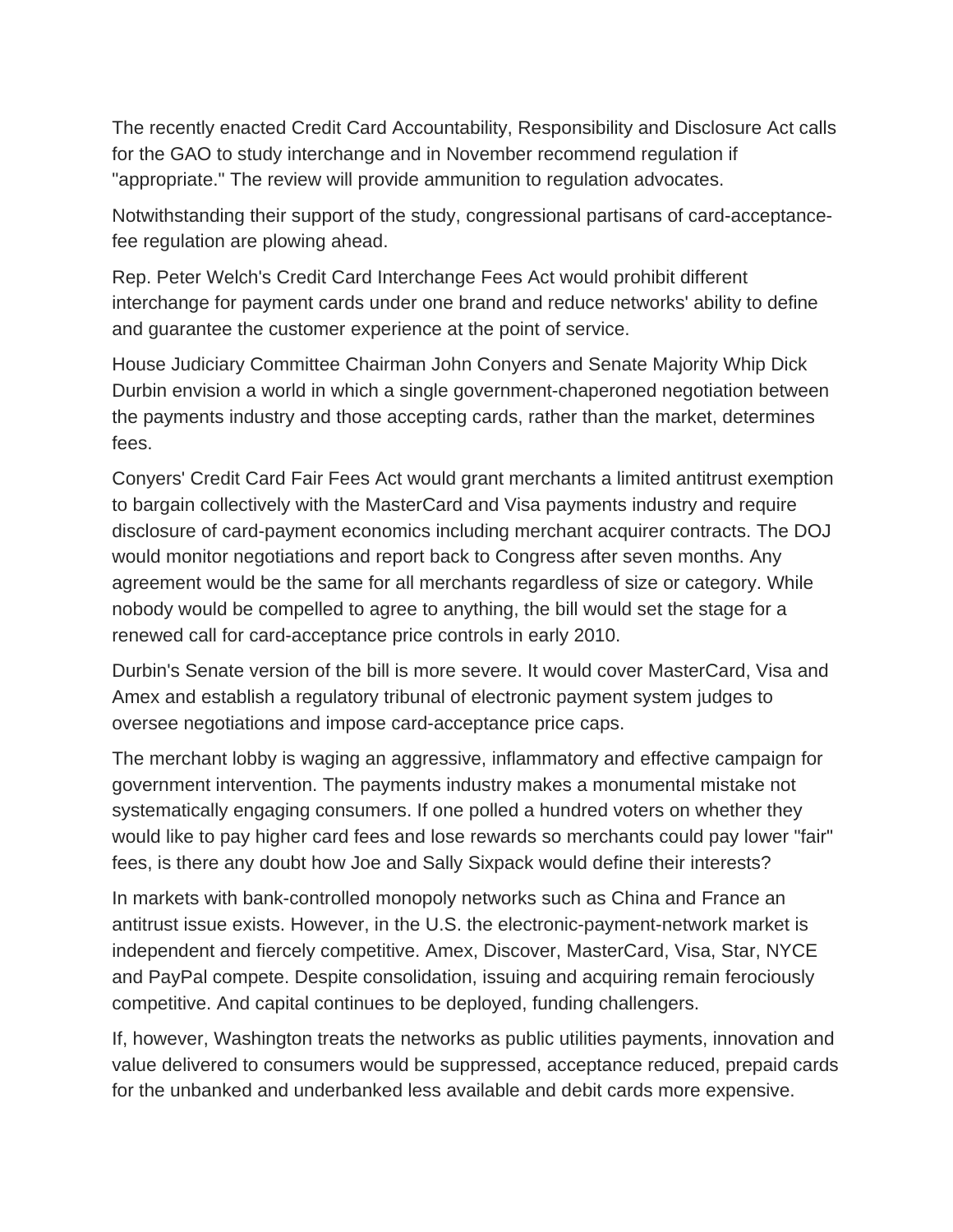The recently enacted Credit Card Accountability, Responsibility and Disclosure Act calls for the GAO to study interchange and in November recommend regulation if "appropriate." The review will provide ammunition to regulation advocates.

Notwithstanding their support of the study, congressional partisans of card-acceptancefee regulation are plowing ahead.

Rep. Peter Welch's Credit Card Interchange Fees Act would prohibit different interchange for payment cards under one brand and reduce networks' ability to define and guarantee the customer experience at the point of service.

House Judiciary Committee Chairman John Conyers and Senate Majority Whip Dick Durbin envision a world in which a single government-chaperoned negotiation between the payments industry and those accepting cards, rather than the market, determines fees.

Conyers' Credit Card Fair Fees Act would grant merchants a limited antitrust exemption to bargain collectively with the MasterCard and Visa payments industry and require disclosure of card-payment economics including merchant acquirer contracts. The DOJ would monitor negotiations and report back to Congress after seven months. Any agreement would be the same for all merchants regardless of size or category. While nobody would be compelled to agree to anything, the bill would set the stage for a renewed call for card-acceptance price controls in early 2010.

Durbin's Senate version of the bill is more severe. It would cover MasterCard, Visa and Amex and establish a regulatory tribunal of electronic payment system judges to oversee negotiations and impose card-acceptance price caps.

The merchant lobby is waging an aggressive, inflammatory and effective campaign for government intervention. The payments industry makes a monumental mistake not systematically engaging consumers. If one polled a hundred voters on whether they would like to pay higher card fees and lose rewards so merchants could pay lower "fair" fees, is there any doubt how Joe and Sally Sixpack would define their interests?

In markets with bank-controlled monopoly networks such as China and France an antitrust issue exists. However, in the U.S. the electronic-payment-network market is independent and fiercely competitive. Amex, Discover, MasterCard, Visa, Star, NYCE and PayPal compete. Despite consolidation, issuing and acquiring remain ferociously competitive. And capital continues to be deployed, funding challengers.

If, however, Washington treats the networks as public utilities payments, innovation and value delivered to consumers would be suppressed, acceptance reduced, prepaid cards for the unbanked and underbanked less available and debit cards more expensive.